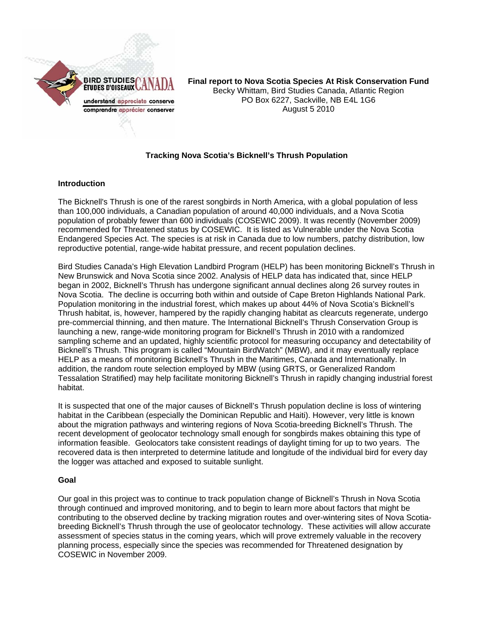

**Final report to Nova Scotia Species At Risk Conservation Fund**  Becky Whittam, Bird Studies Canada, Atlantic Region PO Box 6227, Sackville, NB E4L 1G6 August 5 2010

# **Tracking Nova Scotia's Bicknell's Thrush Population**

#### **Introduction**

The Bicknell's Thrush is one of the rarest songbirds in North America, with a global population of less than 100,000 individuals, a Canadian population of around 40,000 individuals, and a Nova Scotia population of probably fewer than 600 individuals (COSEWIC 2009). It was recently (November 2009) recommended for Threatened status by COSEWIC. It is listed as Vulnerable under the Nova Scotia Endangered Species Act. The species is at risk in Canada due to low numbers, patchy distribution, low reproductive potential, range-wide habitat pressure, and recent population declines.

Bird Studies Canada's High Elevation Landbird Program (HELP) has been monitoring Bicknell's Thrush in New Brunswick and Nova Scotia since 2002. Analysis of HELP data has indicated that, since HELP began in 2002, Bicknell's Thrush has undergone significant annual declines along 26 survey routes in Nova Scotia. The decline is occurring both within and outside of Cape Breton Highlands National Park. Population monitoring in the industrial forest, which makes up about 44% of Nova Scotia's Bicknell's Thrush habitat, is, however, hampered by the rapidly changing habitat as clearcuts regenerate, undergo pre-commercial thinning, and then mature. The International Bicknell's Thrush Conservation Group is launching a new, range-wide monitoring program for Bicknell's Thrush in 2010 with a randomized sampling scheme and an updated, highly scientific protocol for measuring occupancy and detectability of Bicknell's Thrush. This program is called "Mountain BirdWatch" (MBW), and it may eventually replace HELP as a means of monitoring Bicknell's Thrush in the Maritimes, Canada and Internationally. In addition, the random route selection employed by MBW (using GRTS, or Generalized Random Tessalation Stratified) may help facilitate monitoring Bicknell's Thrush in rapidly changing industrial forest habitat.

It is suspected that one of the major causes of Bicknell's Thrush population decline is loss of wintering habitat in the Caribbean (especially the Dominican Republic and Haiti). However, very little is known about the migration pathways and wintering regions of Nova Scotia-breeding Bicknell's Thrush. The recent development of geolocator technology small enough for songbirds makes obtaining this type of information feasible. Geolocators take consistent readings of daylight timing for up to two years. The recovered data is then interpreted to determine latitude and longitude of the individual bird for every day the logger was attached and exposed to suitable sunlight.

#### **Goal**

Our goal in this project was to continue to track population change of Bicknell's Thrush in Nova Scotia through continued and improved monitoring, and to begin to learn more about factors that might be contributing to the observed decline by tracking migration routes and over-wintering sites of Nova Scotiabreeding Bicknell's Thrush through the use of geolocator technology. These activities will allow accurate assessment of species status in the coming years, which will prove extremely valuable in the recovery planning process, especially since the species was recommended for Threatened designation by COSEWIC in November 2009.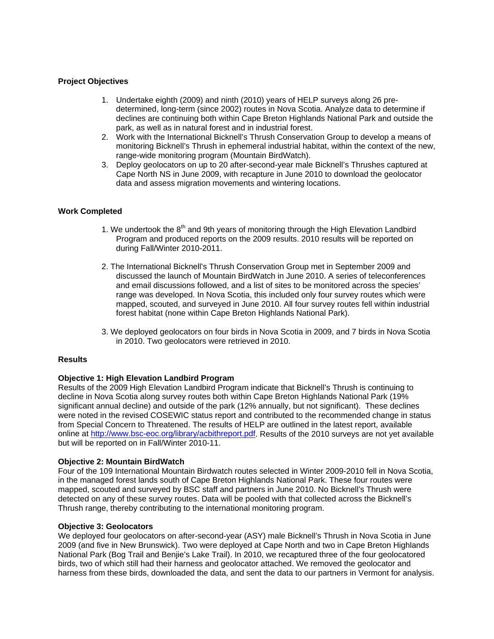### **Project Objectives**

- 1. Undertake eighth (2009) and ninth (2010) years of HELP surveys along 26 predetermined, long-term (since 2002) routes in Nova Scotia. Analyze data to determine if declines are continuing both within Cape Breton Highlands National Park and outside the park, as well as in natural forest and in industrial forest.
- 2. Work with the International Bicknell's Thrush Conservation Group to develop a means of monitoring Bicknell's Thrush in ephemeral industrial habitat, within the context of the new, range-wide monitoring program (Mountain BirdWatch).
- 3. Deploy geolocators on up to 20 after-second-year male Bicknell's Thrushes captured at Cape North NS in June 2009, with recapture in June 2010 to download the geolocator data and assess migration movements and wintering locations.

# **Work Completed**

- 1. We undertook the  $8<sup>th</sup>$  and 9th years of monitoring through the High Elevation Landbird Program and produced reports on the 2009 results. 2010 results will be reported on during Fall/Winter 2010-2011.
- 2. The International Bicknell's Thrush Conservation Group met in September 2009 and discussed the launch of Mountain BirdWatch in June 2010. A series of teleconferences and email discussions followed, and a list of sites to be monitored across the species' range was developed. In Nova Scotia, this included only four survey routes which were mapped, scouted, and surveyed in June 2010. All four survey routes fell within industrial forest habitat (none within Cape Breton Highlands National Park).
- 3. We deployed geolocators on four birds in Nova Scotia in 2009, and 7 birds in Nova Scotia in 2010. Two geolocators were retrieved in 2010.

#### **Results**

#### **Objective 1: High Elevation Landbird Program**

Results of the 2009 High Elevation Landbird Program indicate that Bicknell's Thrush is continuing to decline in Nova Scotia along survey routes both within Cape Breton Highlands National Park (19% significant annual decline) and outside of the park (12% annually, but not significant). These declines were noted in the revised COSEWIC status report and contributed to the recommended change in status from Special Concern to Threatened. The results of HELP are outlined in the latest report, available online at http://www.bsc-eoc.org/library/acbithreport.pdf. Results of the 2010 surveys are not yet available but will be reported on in Fall/Winter 2010-11.

#### **Objective 2: Mountain BirdWatch**

Four of the 109 International Mountain Birdwatch routes selected in Winter 2009-2010 fell in Nova Scotia, in the managed forest lands south of Cape Breton Highlands National Park. These four routes were mapped, scouted and surveyed by BSC staff and partners in June 2010. No Bicknell's Thrush were detected on any of these survey routes. Data will be pooled with that collected across the Bicknell's Thrush range, thereby contributing to the international monitoring program.

#### **Objective 3: Geolocators**

We deployed four geolocators on after-second-year (ASY) male Bicknell's Thrush in Nova Scotia in June 2009 (and five in New Brunswick). Two were deployed at Cape North and two in Cape Breton Highlands National Park (Bog Trail and Benjie's Lake Trail). In 2010, we recaptured three of the four geolocatored birds, two of which still had their harness and geolocator attached. We removed the geolocator and harness from these birds, downloaded the data, and sent the data to our partners in Vermont for analysis.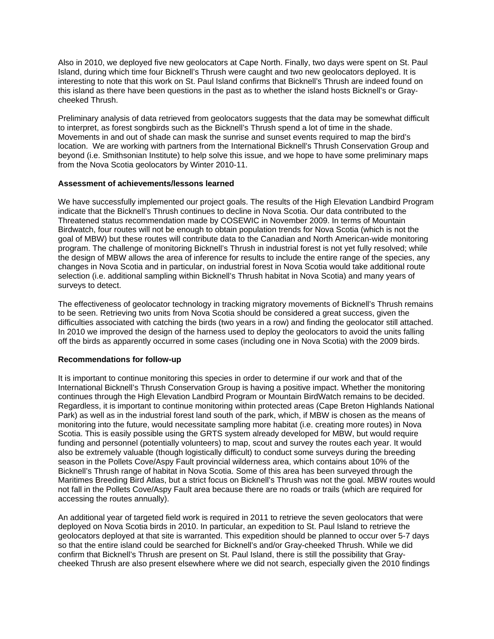Also in 2010, we deployed five new geolocators at Cape North. Finally, two days were spent on St. Paul Island, during which time four Bicknell's Thrush were caught and two new geolocators deployed. It is interesting to note that this work on St. Paul Island confirms that Bicknell's Thrush are indeed found on this island as there have been questions in the past as to whether the island hosts Bicknell's or Graycheeked Thrush.

Preliminary analysis of data retrieved from geolocators suggests that the data may be somewhat difficult to interpret, as forest songbirds such as the Bicknell's Thrush spend a lot of time in the shade. Movements in and out of shade can mask the sunrise and sunset events required to map the bird's location. We are working with partners from the International Bicknell's Thrush Conservation Group and beyond (i.e. Smithsonian Institute) to help solve this issue, and we hope to have some preliminary maps from the Nova Scotia geolocators by Winter 2010-11.

#### **Assessment of achievements/lessons learned**

We have successfully implemented our project goals. The results of the High Elevation Landbird Program indicate that the Bicknell's Thrush continues to decline in Nova Scotia. Our data contributed to the Threatened status recommendation made by COSEWIC in November 2009. In terms of Mountain Birdwatch, four routes will not be enough to obtain population trends for Nova Scotia (which is not the goal of MBW) but these routes will contribute data to the Canadian and North American-wide monitoring program. The challenge of monitoring Bicknell's Thrush in industrial forest is not yet fully resolved; while the design of MBW allows the area of inference for results to include the entire range of the species, any changes in Nova Scotia and in particular, on industrial forest in Nova Scotia would take additional route selection (i.e. additional sampling within Bicknell's Thrush habitat in Nova Scotia) and many years of surveys to detect.

The effectiveness of geolocator technology in tracking migratory movements of Bicknell's Thrush remains to be seen. Retrieving two units from Nova Scotia should be considered a great success, given the difficulties associated with catching the birds (two years in a row) and finding the geolocator still attached. In 2010 we improved the design of the harness used to deploy the geolocators to avoid the units falling off the birds as apparently occurred in some cases (including one in Nova Scotia) with the 2009 birds.

#### **Recommendations for follow-up**

It is important to continue monitoring this species in order to determine if our work and that of the International Bicknell's Thrush Conservation Group is having a positive impact. Whether the monitoring continues through the High Elevation Landbird Program or Mountain BirdWatch remains to be decided. Regardless, it is important to continue monitoring within protected areas (Cape Breton Highlands National Park) as well as in the industrial forest land south of the park, which, if MBW is chosen as the means of monitoring into the future, would necessitate sampling more habitat (i.e. creating more routes) in Nova Scotia. This is easily possible using the GRTS system already developed for MBW, but would require funding and personnel (potentially volunteers) to map, scout and survey the routes each year. It would also be extremely valuable (though logistically difficult) to conduct some surveys during the breeding season in the Pollets Cove/Aspy Fault provincial wilderness area, which contains about 10% of the Bicknell's Thrush range of habitat in Nova Scotia. Some of this area has been surveyed through the Maritimes Breeding Bird Atlas, but a strict focus on Bicknell's Thrush was not the goal. MBW routes would not fall in the Pollets Cove/Aspy Fault area because there are no roads or trails (which are required for accessing the routes annually).

An additional year of targeted field work is required in 2011 to retrieve the seven geolocators that were deployed on Nova Scotia birds in 2010. In particular, an expedition to St. Paul Island to retrieve the geolocators deployed at that site is warranted. This expedition should be planned to occur over 5-7 days so that the entire island could be searched for Bicknell's and/or Gray-cheeked Thrush. While we did confirm that Bicknell's Thrush are present on St. Paul Island, there is still the possibility that Graycheeked Thrush are also present elsewhere where we did not search, especially given the 2010 findings